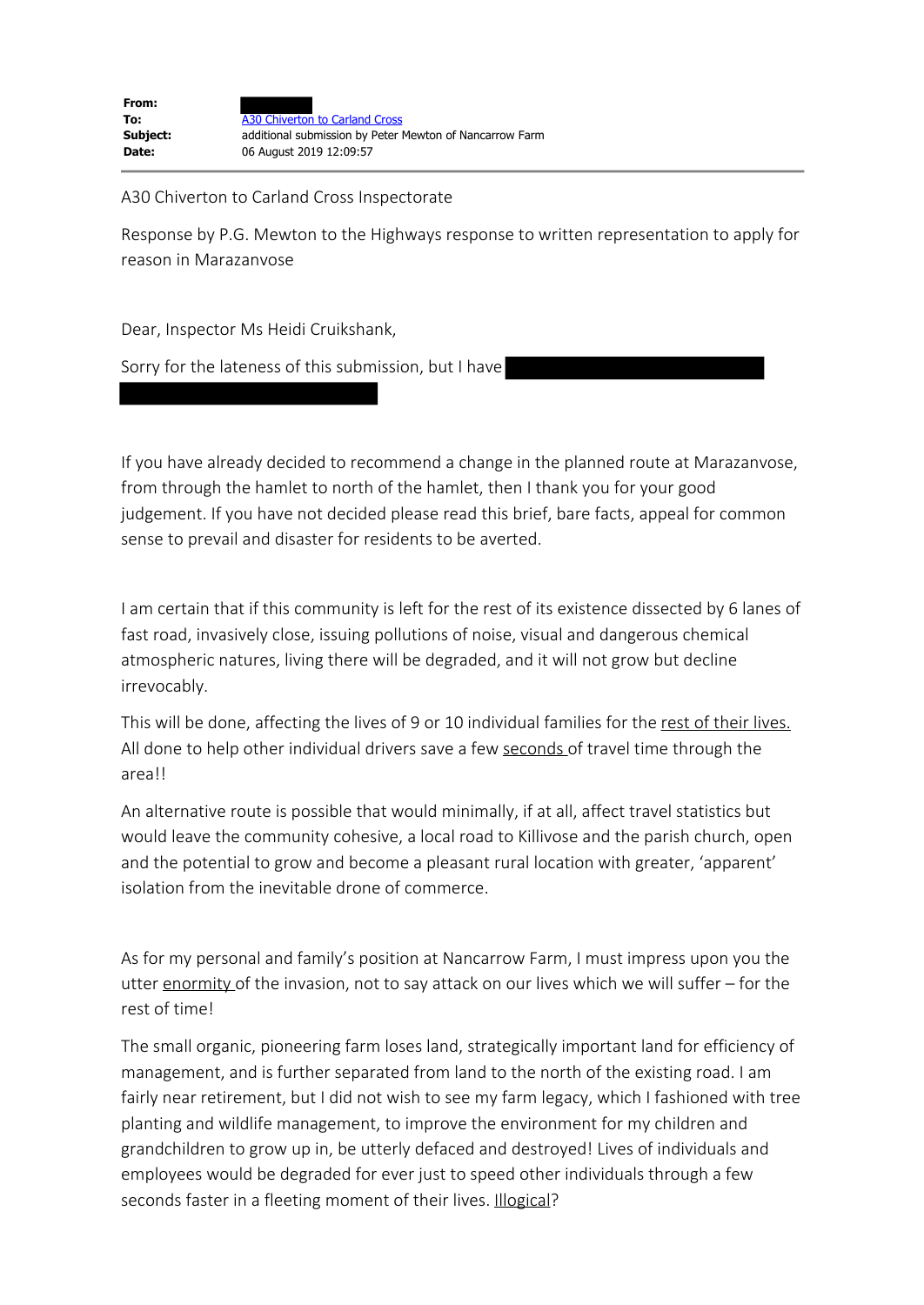A30 Chiverton to Carland Cross Inspectorate

Response by P.G. Mewton to the Highways response to written representation to apply for reason in Marazanvose

Dear, Inspector Ms Heidi Cruikshank,

Sorry for the lateness of this submission, but I have

If you have already decided to recommend a change in the planned route at Marazanvose, from through the hamlet to north of the hamlet, then I thank you for your good judgement. If you have not decided please read this brief, bare facts, appeal for common sense to prevail and disaster for residents to be averted.

I am certain that if this community is left for the rest of its existence dissected by 6 lanes of fast road, invasively close, issuing pollutions of noise, visual and dangerous chemical atmospheric natures, living there will be degraded, and it will not grow but decline irrevocably.

This will be done, affecting the lives of 9 or 10 individual families for the rest of their lives. All done to help other individual drivers save a few seconds of travel time through the area!!

An alternative route is possible that would minimally, if at all, affect travel statistics but would leave the community cohesive, a local road to Killivose and the parish church, open and the potential to grow and become a pleasant rural location with greater, 'apparent' isolation from the inevitable drone of commerce.

As for my personal and family's position at Nancarrow Farm, I must impress upon you the utter enormity of the invasion, not to say attack on our lives which we will suffer – for the rest of time!

The small organic, pioneering farm loses land, strategically important land for efficiency of management, and is further separated from land to the north of the existing road. I am fairly near retirement, but I did not wish to see my farm legacy, which I fashioned with tree planting and wildlife management, to improve the environment for my children and grandchildren to grow up in, be utterly defaced and destroyed! Lives of individuals and employees would be degraded for ever just to speed other individuals through a few seconds faster in a fleeting moment of their lives. **Illogical?**